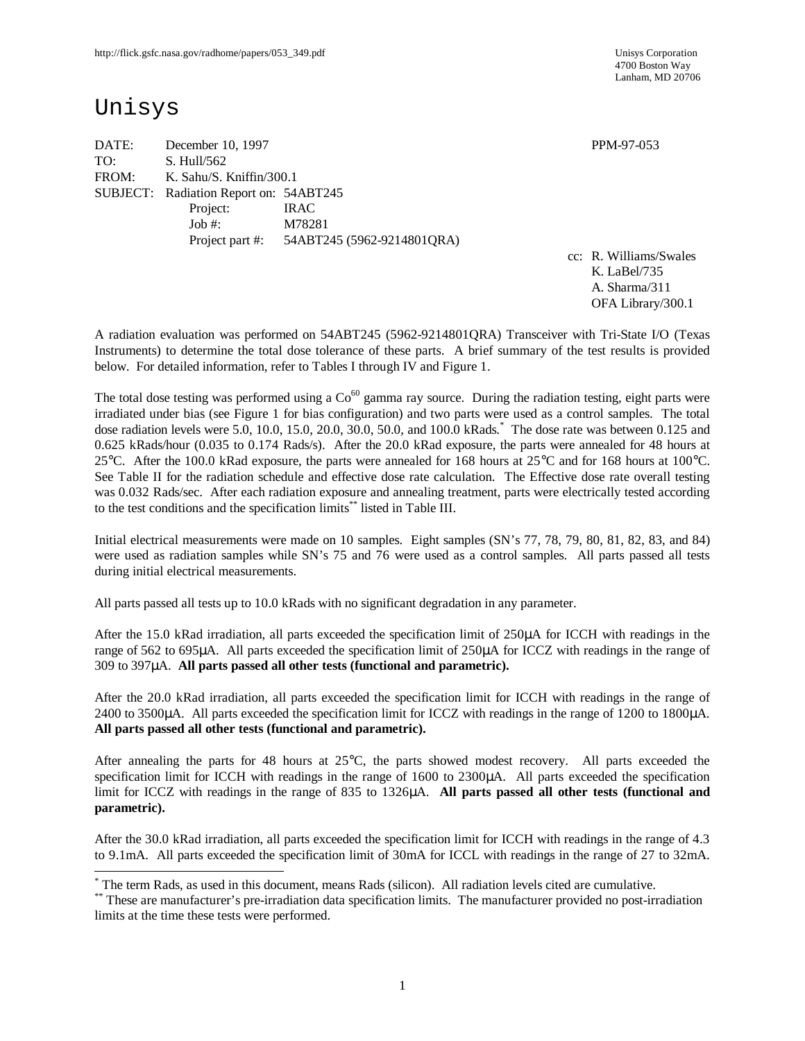4700 Boston Way Lanham, MD 20706

# Unisys

 $\overline{\phantom{a}}$ 

DATE: December 10, 1997 PPM-97-053 TO: S. Hull/562 FROM: K. Sahu/S. Kniffin/300.1 SUBJECT: Radiation Report on: 54ABT245 Project: IRAC Job #: M78281 Project part #: 54ABT245 (5962-9214801QRA)

cc: R. Williams/Swales K. LaBel/735 A. Sharma/311 OFA Library/300.1

A radiation evaluation was performed on 54ABT245 (5962-9214801QRA) Transceiver with Tri-State I/O (Texas Instruments) to determine the total dose tolerance of these parts. A brief summary of the test results is provided below. For detailed information, refer to Tables I through IV and Figure 1.

The total dose testing was performed using a  $Co<sup>60</sup>$  gamma ray source. During the radiation testing, eight parts were irradiated under bias (see Figure 1 for bias configuration) and two parts were used as a control samples. The total dose radiation levels were 5.0, 10.0, 15.0, 20.0, 30.0, 50.0, and 100.0 kRads. \* The dose rate was between 0.125 and 0.625 kRads/hour (0.035 to 0.174 Rads/s). After the 20.0 kRad exposure, the parts were annealed for 48 hours at 25°C. After the 100.0 kRad exposure, the parts were annealed for 168 hours at 25°C and for 168 hours at 100°C. See Table II for the radiation schedule and effective dose rate calculation. The Effective dose rate overall testing was 0.032 Rads/sec. After each radiation exposure and annealing treatment, parts were electrically tested according to the test conditions and the specification limits\*\* listed in Table III.

Initial electrical measurements were made on 10 samples. Eight samples (SN's 77, 78, 79, 80, 81, 82, 83, and 84) were used as radiation samples while SN's 75 and 76 were used as a control samples. All parts passed all tests during initial electrical measurements.

All parts passed all tests up to 10.0 kRads with no significant degradation in any parameter.

After the 15.0 kRad irradiation, all parts exceeded the specification limit of 250μA for ICCH with readings in the range of 562 to 695μA. All parts exceeded the specification limit of 250μA for ICCZ with readings in the range of 309 to 397μA. **All parts passed all other tests (functional and parametric).**

After the 20.0 kRad irradiation, all parts exceeded the specification limit for ICCH with readings in the range of 2400 to 3500μA. All parts exceeded the specification limit for ICCZ with readings in the range of 1200 to 1800μA. **All parts passed all other tests (functional and parametric).**

After annealing the parts for 48 hours at 25°C, the parts showed modest recovery. All parts exceeded the specification limit for ICCH with readings in the range of 1600 to 2300μA. All parts exceeded the specification limit for ICCZ with readings in the range of 835 to 1326μA. **All parts passed all other tests (functional and parametric).**

After the 30.0 kRad irradiation, all parts exceeded the specification limit for ICCH with readings in the range of 4.3 to 9.1mA. All parts exceeded the specification limit of 30mA for ICCL with readings in the range of 27 to 32mA.

<sup>\*</sup> The term Rads, as used in this document, means Rads (silicon). All radiation levels cited are cumulative.

<sup>\*\*</sup> These are manufacturer's pre-irradiation data specification limits. The manufacturer provided no post-irradiation limits at the time these tests were performed.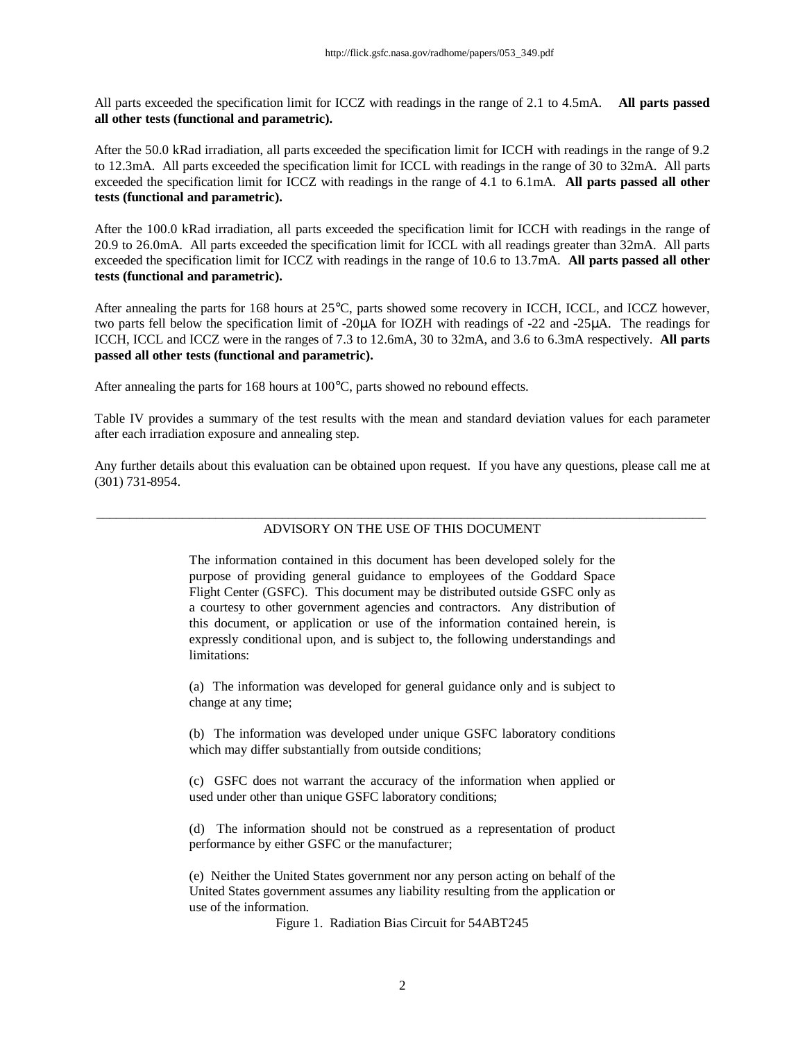All parts exceeded the specification limit for ICCZ with readings in the range of 2.1 to 4.5mA. **All parts passed all other tests (functional and parametric).**

After the 50.0 kRad irradiation, all parts exceeded the specification limit for ICCH with readings in the range of 9.2 to 12.3mA. All parts exceeded the specification limit for ICCL with readings in the range of 30 to 32mA. All parts exceeded the specification limit for ICCZ with readings in the range of 4.1 to 6.1mA. **All parts passed all other tests (functional and parametric).**

After the 100.0 kRad irradiation, all parts exceeded the specification limit for ICCH with readings in the range of 20.9 to 26.0mA. All parts exceeded the specification limit for ICCL with all readings greater than 32mA. All parts exceeded the specification limit for ICCZ with readings in the range of 10.6 to 13.7mA. **All parts passed all other tests (functional and parametric).**

After annealing the parts for 168 hours at 25°C, parts showed some recovery in ICCH, ICCL, and ICCZ however, two parts fell below the specification limit of -20μA for IOZH with readings of -22 and -25μA. The readings for ICCH, ICCL and ICCZ were in the ranges of 7.3 to 12.6mA, 30 to 32mA, and 3.6 to 6.3mA respectively. **All parts passed all other tests (functional and parametric).**

After annealing the parts for 168 hours at 100°C, parts showed no rebound effects.

Table IV provides a summary of the test results with the mean and standard deviation values for each parameter after each irradiation exposure and annealing step.

Any further details about this evaluation can be obtained upon request. If you have any questions, please call me at (301) 731-8954.

### \_\_\_\_\_\_\_\_\_\_\_\_\_\_\_\_\_\_\_\_\_\_\_\_\_\_\_\_\_\_\_\_\_\_\_\_\_\_\_\_\_\_\_\_\_\_\_\_\_\_\_\_\_\_\_\_\_\_\_\_\_\_\_\_\_\_\_\_\_\_\_\_\_\_\_\_\_\_\_\_\_\_\_\_\_\_\_\_\_\_\_\_ ADVISORY ON THE USE OF THIS DOCUMENT

The information contained in this document has been developed solely for the purpose of providing general guidance to employees of the Goddard Space Flight Center (GSFC). This document may be distributed outside GSFC only as a courtesy to other government agencies and contractors. Any distribution of this document, or application or use of the information contained herein, is expressly conditional upon, and is subject to, the following understandings and limitations:

(a) The information was developed for general guidance only and is subject to change at any time;

(b) The information was developed under unique GSFC laboratory conditions which may differ substantially from outside conditions;

(c) GSFC does not warrant the accuracy of the information when applied or used under other than unique GSFC laboratory conditions;

(d) The information should not be construed as a representation of product performance by either GSFC or the manufacturer;

(e) Neither the United States government nor any person acting on behalf of the United States government assumes any liability resulting from the application or use of the information.

Figure 1. Radiation Bias Circuit for 54ABT245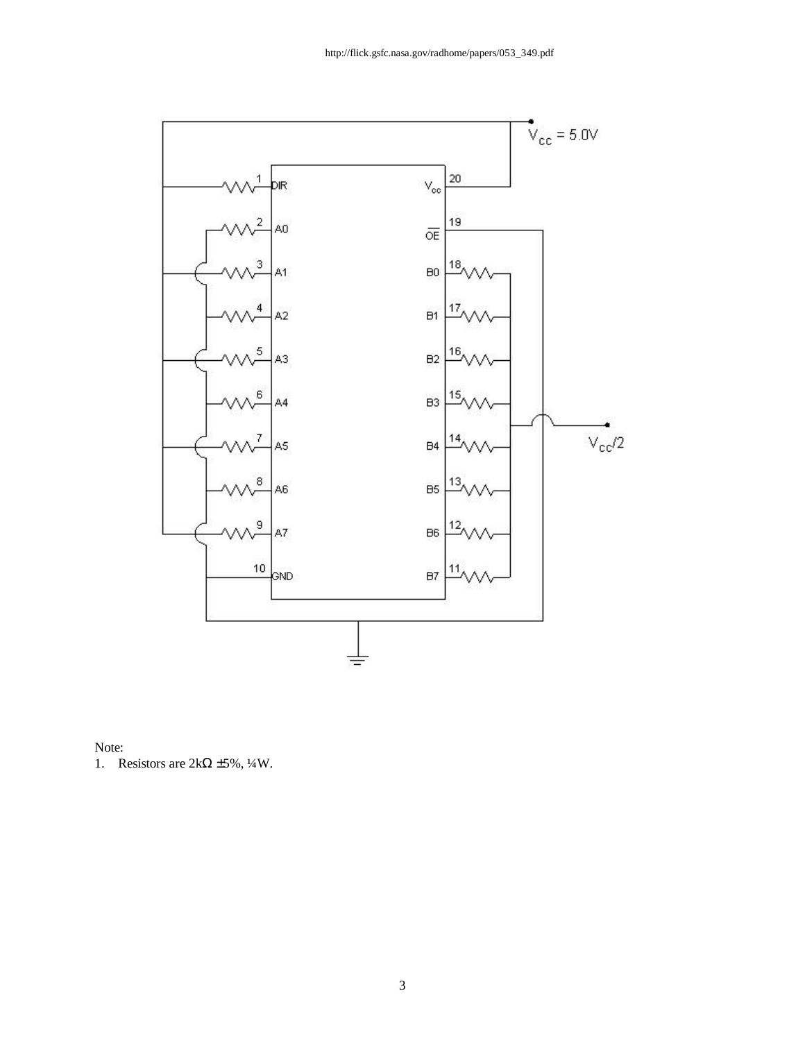



1. Resistors are  $2k\Omega \pm 5\%$ ,  $\frac{1}{4}W$ .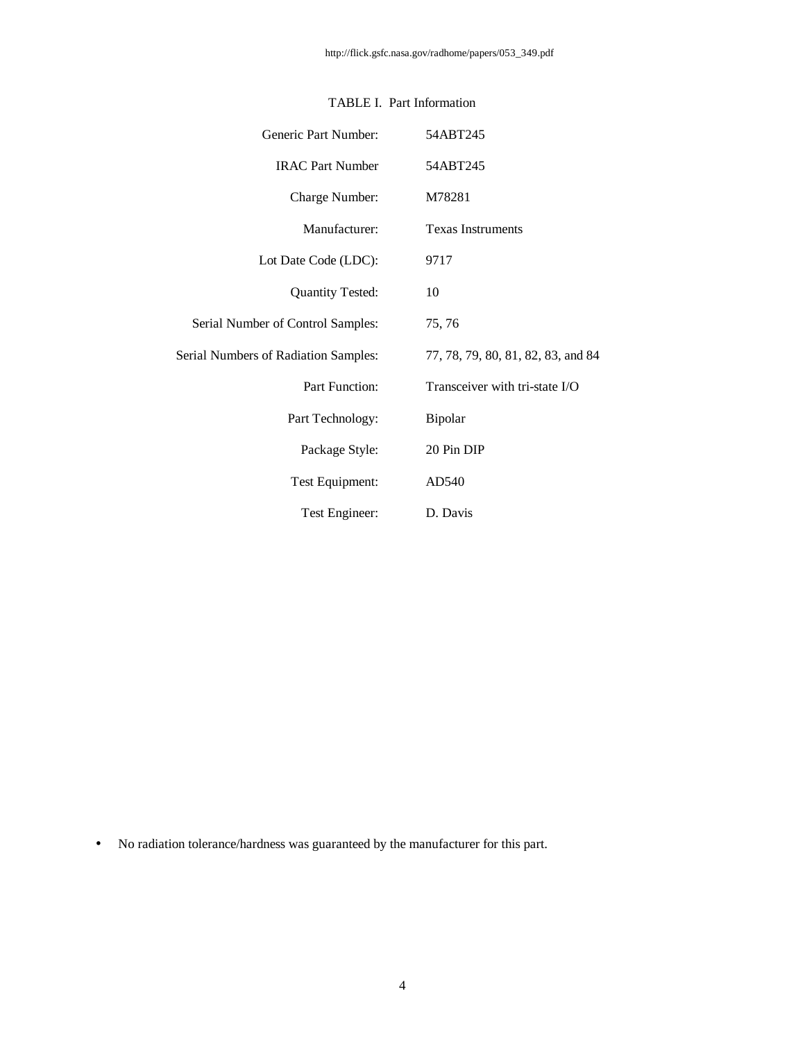| Generic Part Number:                        | 54ABT245                           |
|---------------------------------------------|------------------------------------|
| <b>IRAC Part Number</b>                     | 54ABT245                           |
| Charge Number:                              | M78281                             |
| Manufacturer:                               | <b>Texas Instruments</b>           |
| Lot Date Code (LDC):                        | 9717                               |
| <b>Quantity Tested:</b>                     | 10                                 |
| Serial Number of Control Samples:           | 75, 76                             |
| <b>Serial Numbers of Radiation Samples:</b> | 77, 78, 79, 80, 81, 82, 83, and 84 |
| <b>Part Function:</b>                       | Transceiver with tri-state I/O     |
| Part Technology:                            | Bipolar                            |
| Package Style:                              | 20 Pin DIP                         |
| Test Equipment:                             | AD540                              |
| Test Engineer:                              | D. Davis                           |

## TABLE I. Part Information

• No radiation tolerance/hardness was guaranteed by the manufacturer for this part.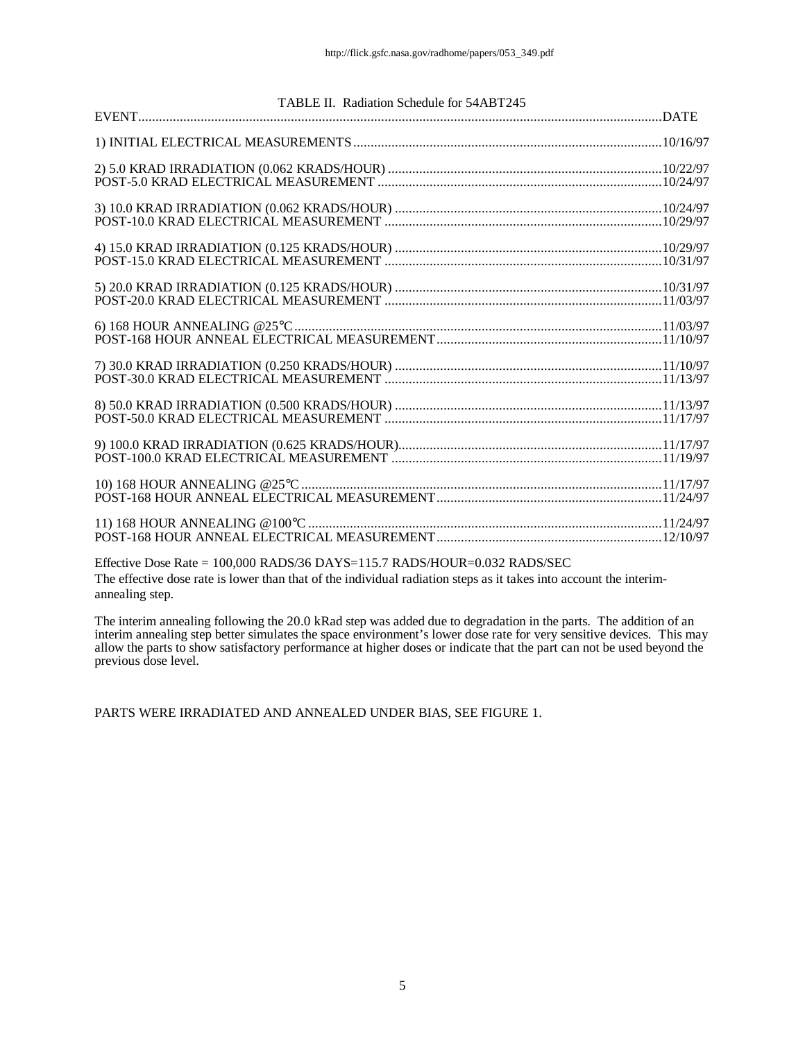| TABLE II. Radiation Schedule for 54ABT245 |  |
|-------------------------------------------|--|
|                                           |  |
|                                           |  |
|                                           |  |
|                                           |  |
|                                           |  |
|                                           |  |
|                                           |  |
|                                           |  |
|                                           |  |
|                                           |  |
|                                           |  |

Effective Dose Rate = 100,000 RADS/36 DAYS=115.7 RADS/HOUR=0.032 RADS/SEC The effective dose rate is lower than that of the individual radiation steps as it takes into account the interimannealing step.

The interim annealing following the 20.0 kRad step was added due to degradation in the parts. The addition of an interim annealing step better simulates the space environment's lower dose rate for very sensitive devices. This may allow the parts to show satisfactory performance at higher doses or indicate that the part can not be used beyond the previous dose level.

PARTS WERE IRRADIATED AND ANNEALED UNDER BIAS, SEE FIGURE 1.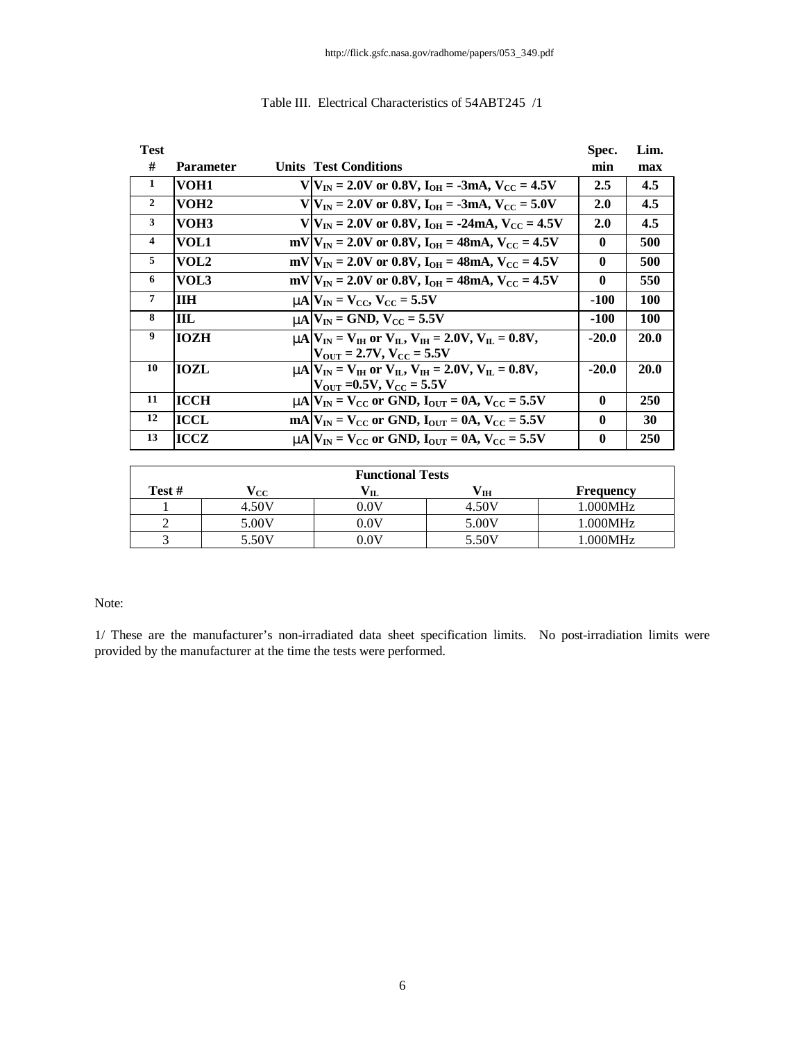| <b>Test</b>    |                  |                                                                                | Spec.        | Lim. |
|----------------|------------------|--------------------------------------------------------------------------------|--------------|------|
| #              | <b>Parameter</b> | <b>Units Test Conditions</b>                                                   | min          | max  |
| $\mathbf{1}$   | VOH1             | $V V_{IN} = 2.0V$ or 0.8V, $I_{OH} = -3mA$ , $V_{CC} = 4.5V$                   | 2.5          | 4.5  |
| $\overline{2}$ | VOH <sub>2</sub> | $V/V_{IN} = 2.0V$ or 0.8V, $I_{OH} = -3mA$ , $V_{CC} = 5.0V$                   | 2.0          | 4.5  |
| 3              | VOH3             | $V V_{IN} = 2.0V$ or 0.8V, $I_{OH} = -24mA$ , $V_{CC} = 4.5V$                  | 2.0          | 4.5  |
| $\overline{4}$ | VOL1             | $mV V_{IN} = 2.0V$ or 0.8V, $I_{OH} = 48mA$ , $V_{CC} = 4.5V$                  | $\mathbf 0$  | 500  |
| 5              | VOL2             | $mV/V_{IN} = 2.0V$ or 0.8V, $I_{OH} = 48mA$ , $V_{CC} = 4.5V$                  | $\mathbf{0}$ | 500  |
| 6              | VOL3             | $mV V_{IN} = 2.0V$ or 0.8V, $I_{OH} = 48mA$ , $V_{CC} = 4.5V$                  | $\mathbf{0}$ | 550  |
| $\overline{7}$ | <b>IIH</b>       | $mN = V_{\text{CC}}$ , $V_{\text{CC}} = 5.5V$                                  | $-100$       | 100  |
| 8              | ШL               | $mN$ $V_{IN}$ = GND, $V_{CC}$ = 5.5V                                           | -100         | 100  |
| 9              | <b>IOZH</b>      | <b>nn</b> $ V_{IN} = V_{IH}$ or $V_{II}$ , $V_{IH} = 2.0V$ , $V_{II} = 0.8V$ , | $-20.0$      | 20.0 |
|                |                  | $ V_{\text{OUT}} = 2.7V, V_{\text{CC}} = 5.5V$                                 |              |      |
| 10             | IOZL             | $mA V_{IN} = V_{IH}$ or $V_{II}$ , $V_{IH} = 2.0V$ , $V_{II} = 0.8V$ ,         | $-20.0$      | 20.0 |
|                |                  | $ V_{\text{OUT}}  = 0.5V, V_{\text{CC}} = 5.5V$                                |              |      |
| 11             | <b>ICCH</b>      | $mA$ $V_{IN}$ = $V_{CC}$ or GND, $I_{OUT}$ = 0A, $V_{CC}$ = 5.5V               | $\mathbf 0$  | 250  |
| 12             | ICCL             | $mA V_{IN} = V_{CC}$ or GND, $I_{OUT} = 0A$ , $V_{CC} = 5.5V$                  | $\mathbf 0$  | 30   |
| 13             | ICCZ             | $mA V_{IN} = V_{CC}$ or GND, $I_{OUT} = 0A$ , $V_{CC} = 5.5V$                  | $\bf{0}$     | 250  |

## Table III. Electrical Characteristics of 54ABT245 /1

| <b>Functional Tests</b> |       |                 |       |           |  |  |  |  |  |  |  |
|-------------------------|-------|-----------------|-------|-----------|--|--|--|--|--|--|--|
| Test #                  | 'cc   |                 | ΊH    | Frequency |  |  |  |  |  |  |  |
|                         | 4.50V | $0.0\mathrm{V}$ | 4.50V | 1.000MHz  |  |  |  |  |  |  |  |
|                         | 5.00V | $0.0\mathrm{V}$ | 5.00V | 1.000MHz  |  |  |  |  |  |  |  |
|                         | 5.50V | $0.0\mathrm{V}$ | 5.50V | 1.000MHz  |  |  |  |  |  |  |  |

#### Note:

1/ These are the manufacturer's non-irradiated data sheet specification limits. No post-irradiation limits were provided by the manufacturer at the time the tests were performed.